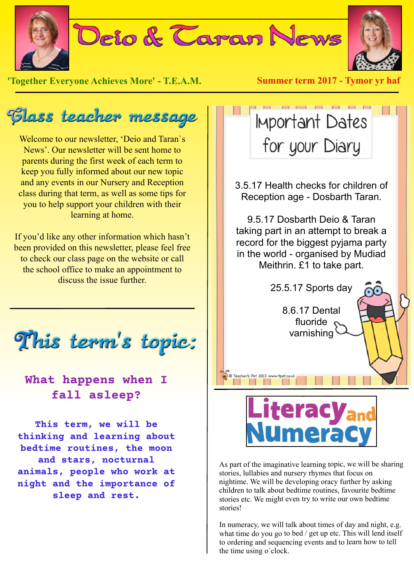

**'Together Everyone Achieves More' - T.E.A.M. Summer term 2017 - Tymor yr haf**

Elass teacher message

Welcome to our newsletter, 'Deio and Taran`s News'. Our newsletter will be sent home to parents during the first week of each term to keep you fully informed about our new topic and any events in our Nursery and Reception class during that term, as well as some tips for you to help support your children with their learning at home.

If you'd like any other information which hasn't been provided on this newsletter, please feel free to check our class page on the website or call the school office to make an appointment to discuss the issue further.

This term's topic:

## **What happens when I fall asleep?**

**This term, we will be thinking and learning about bedtime routines, the moon and stars, nocturnal animals, people who work at night and the importance of sleep and rest.**



3.5.17 Health checks for children of Reception age - Dosbarth Taran.

9.5.17 Dosbarth Deio & Taran taking part in an attempt to break a record for the biggest pyjama party in the world - organised by Mudiad Meithrin. £1 to take part.

25.5.17 Sports day

8.6.17 Dental fluoride varnishing



C Teacher's Pet 2013 w 

As part of the imaginative learning topic, we will be sharing stories, lullabies and nursery rhymes that focus on nightime. We will be developing oracy further by asking children to talk about bedtime routines, favourite bedtime stories etc. We might even try to write our own bedtime stories!

In numeracy, we will talk about times of day and night, e.g. what time do you go to bed / get up etc. This will lend itself to ordering and sequencing events and to learn how to tell the time using o`clock.